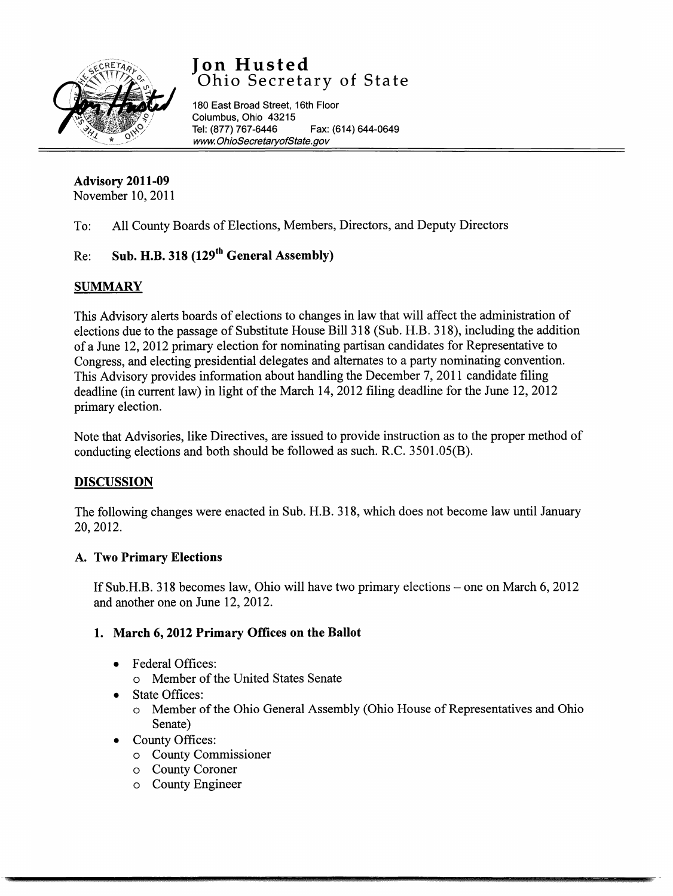

# **Jon Husted**  Ohio Secretary of State

180 East Broad Street, 16th Floor Columbus, Ohio 43215<br>Tel: (877) 767-6446 Fax: (614) 644-0649 www.OhioSecretaryofState.gov

### **Advisory 2011-09**  November 10, 2011

To: All County Boards of Elections, Members, Directors, and Deputy Directors

# Re: **Sub. H.B. 318 (129th General Assembly)**

## **SUMMARY**

This Advisory alerts boards of elections to changes in law that will affect the administration of elections due to the passage of Substitute House Bill 318 (Sub. H.B. 318), including the addition of a June 12, 2012 primary election for nominating partisan candidates for Representative to Congress, and electing presidential delegates and alternates to a party nominating convention. This Advisory provides information about handling the December 7, 2011 candidate filing deadline (in current law) in light of the March 14, 2012 filing deadline for the June 12, 2012 primary election.

Note that Advisories, like Directives, are issued to provide instruction as to the proper method of conducting elections and both should be followed as such. R.C. 3501.05(B).

## **DISCUSSION**

The following changes were enacted in Sub. H.B. 318, which does not become law until January 20, 2012.

### **A. Two Primary Elections**

If Sub.H.B. 318 becomes law, Ohio will have two primary elections – one on March 6, 2012 and another one on June 12, 2012.

## **1. March 6, 2012 Primary Offices on the Ballot**

- Federal Offices:
	- o Member of the United States Senate
- State Offices:
	- o Member of the Ohio General Assembly (Ohio House of Representatives and Ohio Senate)
- County Offices:
	- o County Commissioner
	- o County Coroner
	- o County Engineer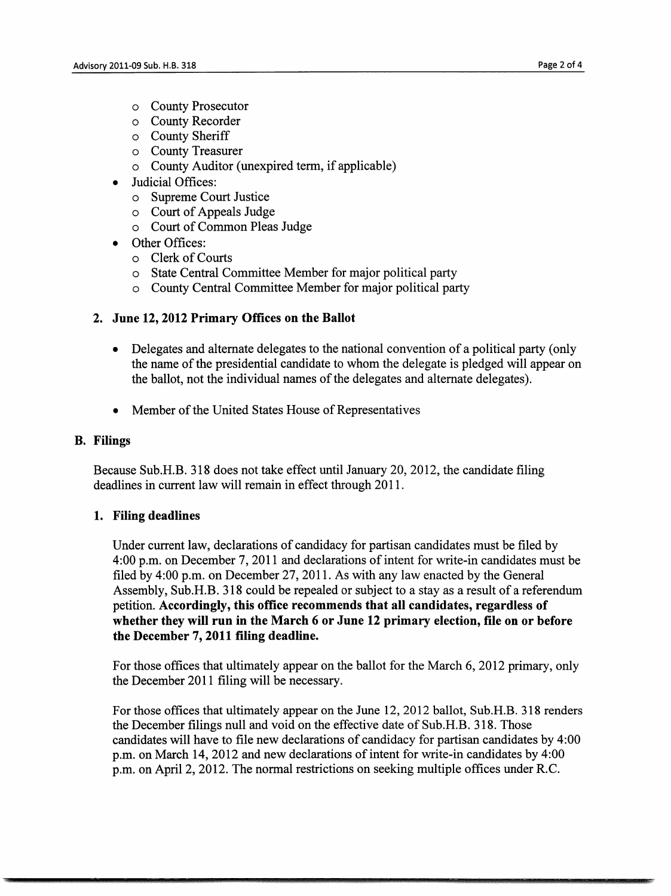- o County Prosecutor
- o County Recorder
- o County Sheriff
- o County Treasurer
- o County Auditor ( unexpired term, if applicable)
- Judicial Offices:
	- o Supreme Court Justice
	- o Court of Appeals Judge
	- o Court of Common Pleas Judge
- Other Offices:
	- o Clerk of Courts
	- o State Central Committee Member for major political party
	- o County Central Committee Member for major political party

#### **2. June 12, 2012 Primary Offices on the Ballot**

- Delegates and alternate delegates to the national convention of a political party (only the name of the presidential candidate to whom the delegate is pledged will appear on the ballot, not the individual names of the delegates and alternate delegates).
- Member of the United States House of Representatives

#### **B. Filings**

Because Sub.H.B. 318 does not take effect until January 20, 2012, the candidate filing deadlines in current law will remain in effect through 2011.

#### **1. Filing deadlines**

Under current law, declarations of candidacy for partisan candidates must be filed by 4:00 p.m. on December 7, 2011 and declarations of intent for write-in candidates must be filed by 4:00 p.m. on December 27, 2011. As with any law enacted by the General Assembly, Sub.H.B. 318 could be repealed or subject to a stay as a result of a referendum petition. **Accordingly, this office recommends that all candidates, regardless of whether they will run in the March 6 or June 12 primary election, file on or before the December 7, 2011 filing deadline.** 

For those offices that ultimately appear on the ballot for the March 6, 2012 primary, only the December 2011 filing will be necessary.

For those offices that ultimately appear on the June 12, 2012 ballot, Sub.H.B. 318 renders the December filings null and void on the effective date of Sub.H.B. 318. Those candidates will have to file new declarations of candidacy for partisan candidates by 4:00 p.m. on March 14, 2012 and new declarations of intent for write-in candidates by 4:00 p.m. on April 2, 2012. The normal restrictions on seeking multiple offices under RC.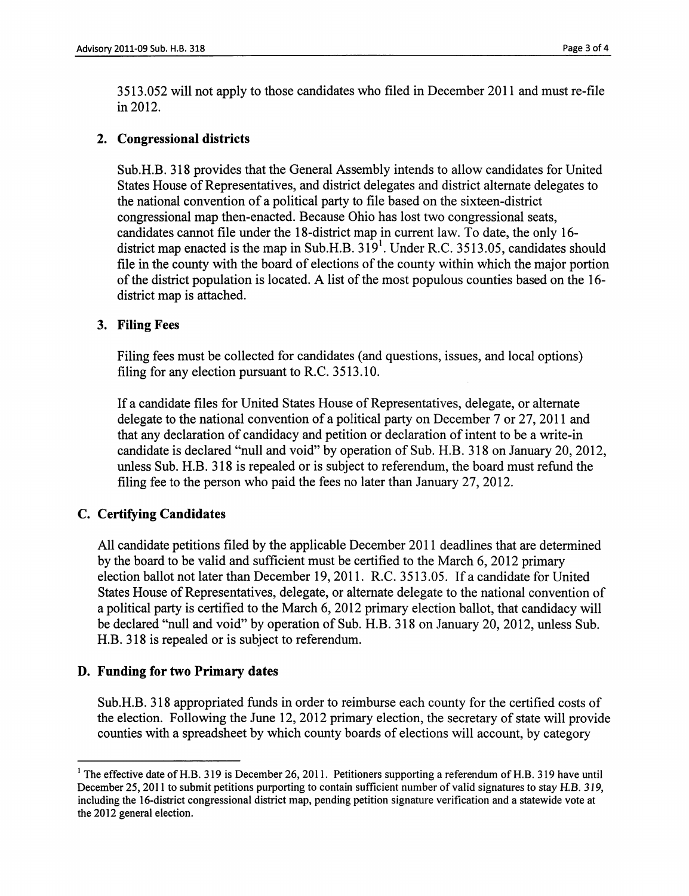3513.052 will not apply to those candidates who filed in December 2011 and must re-file in 2012.

#### **2. Congressional districts**

Sub.H.B. 318 provides that the General Assembly intends to allow candidates for United States House of Representatives, and district delegates and district alternate delegates to the national convention of a political party to file based on the sixteen-district congressional map then-enacted. Because Ohio has lost two congressional seats, candidates cannot file under the 18-district map in current law. To date, the only 16 district map enacted is the map in Sub.H.B.  $319<sup>1</sup>$ . Under R.C. 3513.05, candidates should file in the county with the board of elections of the county within which the major portion of the district population is located. A list of the most populous counties based on the 16district map is attached.

#### **3. Filing Fees**

Filing fees must be collected for candidates ( and questions, issues, and local options) filing for any election pursuant to R.C. 3513.10.

If a candidate files for United States House of Representatives, delegate, or alternate delegate to the national convention of a political party on December 7 or 27, 2011 and that any declaration of candidacy and petition or declaration of intent to be a write-in candidate is declared "null and void" by operation of Sub. H.B. 318 on January 20, 2012, unless Sub. H.B. 318 is repealed or is subject to referendum, the board must refund the filing fee to the person who paid the fees no later than January 27, 2012.

#### **C. Certifying Candidates**

All candidate petitions filed by the applicable December 2011 deadlines that are determined by the board to be valid and sufficient must be certified to the March 6, 2012 primary election ballot not later than December 19, 2011. R.C. 3513.05. If a candidate for United States House of Representatives, delegate, or alternate delegate to the national convention of a political party is certified to the March 6, 2012 primary election ballot, that candidacy will be declared "null and void" by operation of Sub. H.B. 318 on January 20, 2012, unless Sub. H.B. 318 is repealed or is subject to referendum.

#### **D. Funding for two Primary dates**

Sub.H.B. 318 appropriated funds in order to reimburse each county for the certified costs of the election. Following the June 12, 2012 primary election, the secretary of state will provide counties with a spreadsheet by which county boards of elections will account, by category

<sup>&</sup>lt;sup>1</sup> The effective date of H.B. 319 is December 26, 2011. Petitioners supporting a referendum of H.B. 319 have until December 25, 2011 to submit petitions purporting to contain sufficient number of valid signatures to stay H.B. 319, including the 16-district congressional district map, pending petition signature verification and a statewide vote at the 2012 general election.